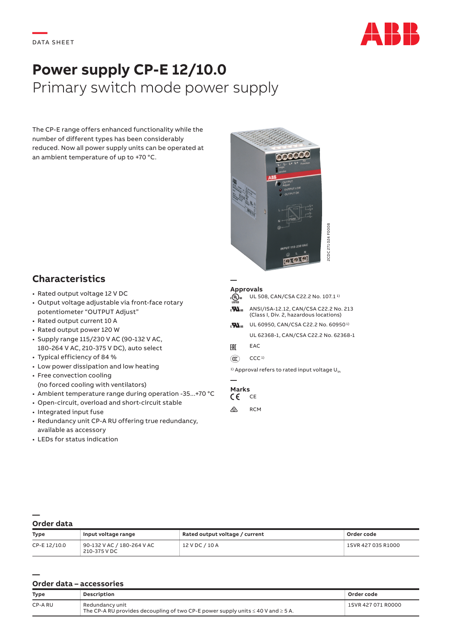

# **Power supply CP-E 12/10.0** Primary switch mode power supply

The CP-E range offers enhanced functionality while the number of different types has been considerably reduced. Now all power supply units can be operated at an ambient temperature of up to +70 °C.



## **Characteristics**

- Rated output voltage 12 V DC
- Output voltage adjustable via front-face rotary potentiometer "OUTPUT Adjust"
- Rated output current 10 A
- Rated output power 120 W
- Supply range 115/230 V AC (90-132 V AC, 180-264 V AC, 210-375 V DC), auto select
- Typical efficiency of 84 %
- Low power dissipation and low heating
- Free convection cooling (no forced cooling with ventilators)
- Ambient temperature range during operation -35...+70 °C
- Open-circuit, overload and short-circuit stable
- Integrated input fuse
- Redundancy unit CP-A RU offering true redundancy, available as accessory
- LEDs for status indication

#### **— Approvals**

| $_{c}$ (Up) us<br><b>LISTED</b> | UL 508, CAN/CSA C22.2 No. 107.1 <sup>1)</sup>                                   |
|---------------------------------|---------------------------------------------------------------------------------|
| $\mathbf{Z}$                    | ANSI/ISA-12.12, CAN/CSA C22.2 No. 213<br>(Class I, Div. 2, hazardous locations) |
| $\mathbf{Z}$                    | UL 60950, CAN/CSA C22.2 No. 60950 <sup>1)</sup>                                 |
|                                 | UL 62368-1, CAN/CSA C22.2 No. 62368-1                                           |
| ŀHl                             | <b>EAC</b>                                                                      |

- $(\widehat{cc})$  CCC<sup>1)</sup>
- $1)$  Approval refers to rated input voltage  $U_{\text{in}}$

### **— Marks**

CE CE  $\otimes$  RCM

**— Order data**

**—**

| <b>Type</b>  | Input voltage range                        | Rated output voltage / current | Order code         |
|--------------|--------------------------------------------|--------------------------------|--------------------|
| CP-E 12/10.0 | 90-132 V AC / 180-264 V AC<br>210-375 V DC | $12$ V DC $/$ 10 A             | 1SVR 427 035 R1000 |

### **Order data – accessories**

| <b>Type</b> | Description                                                                                                   | Order code         |
|-------------|---------------------------------------------------------------------------------------------------------------|--------------------|
| CP-A RU     | Redundancy unit<br>The CP-A RU provides decoupling of two CP-E power supply units $\leq$ 40 V and $\geq$ 5 A. | 1SVR 427 071 R0000 |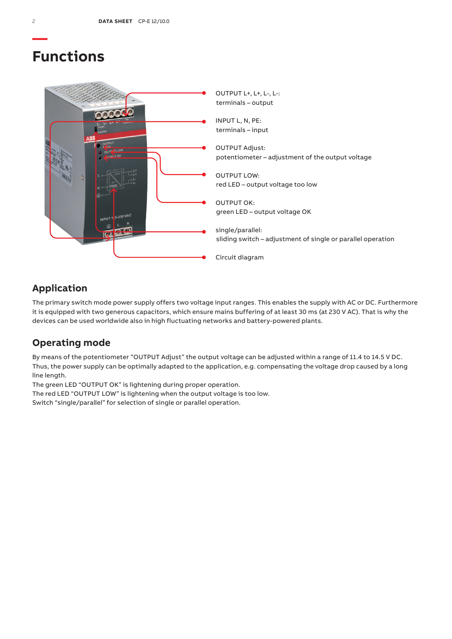## **Functions**



## **Application**

The primary switch mode power supply offers two voltage input ranges. This enables the supply with AC or DC. Furthermore it is equipped with two generous capacitors, which ensure mains buffering of at least 30 ms (at 230 V AC). That is why the devices can be used worldwide also in high fluctuating networks and battery-powered plants.

## **Operating mode**

By means of the potentiometer "OUTPUT Adjust" the output voltage can be adjusted within a range of 11.4 to 14.5 V DC. Thus, the power supply can be optimally adapted to the application, e.g. compensating the voltage drop caused by a long line length.

The green LED "OUTPUT OK" is lightening during proper operation.

The red LED "OUTPUT LOW" is lightening when the output voltage is too low.

Switch "single/parallel" for selection of single or parallel operation.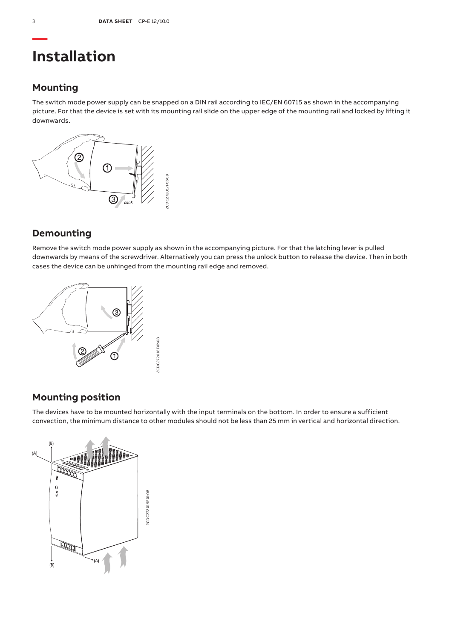## **Installation**

## **Mounting**

The switch mode power supply can be snapped on a DIN rail according to IEC/EN 60715 as shown in the accompanying picture. For that the device is set with its mounting rail slide on the upper edge of the mounting rail and locked by lifting it downwards.



## **Demounting**

Remove the switch mode power supply as shown in the accompanying picture. For that the latching lever is pulled downwards by means of the screwdriver. Alternatively you can press the unlock button to release the device. Then in both cases the device can be unhinged from the mounting rail edge and removed.



## **Mounting position**

The devices have to be mounted horizontally with the input terminals on the bottom. In order to ensure a sufficient convection, the minimum distance to other modules should not be less than 25 mm in vertical and horizontal direction.

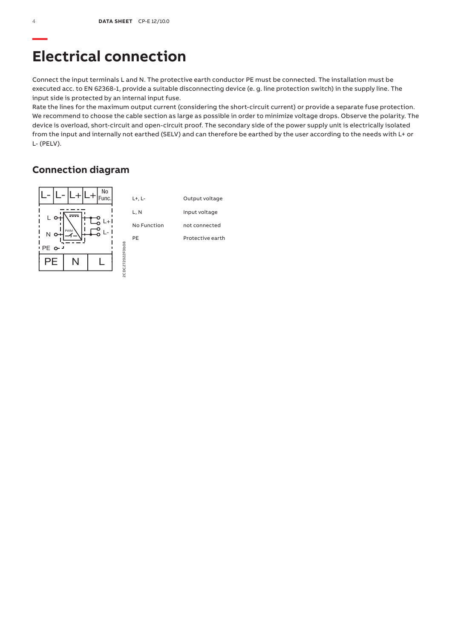## **Electrical connection**

Connect the input terminals L and N. The protective earth conductor PE must be connected. The installation must be executed acc. to EN 62368-1, provide a suitable disconnecting device (e. g. line protection switch) in the supply line. The input side is protected by an internal input fuse.

Rate the lines for the maximum output current (considering the short-circuit current) or provide a separate fuse protection. We recommend to choose the cable section as large as possible in order to minimize voltage drops. Observe the polarity. The device is overload, short-circuit and open-circuit proof. The secondary side of the power supply unit is electrically isolated from the input and internally not earthed (SELV) and can therefore be earthed by the user according to the needs with L+ or L- (PELV).

## **Connection diagram**

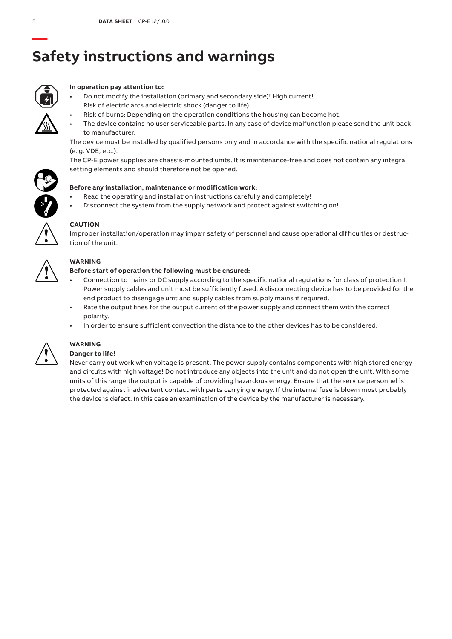# **Safety instructions and warnings**



### **In operation pay attention to:**

- Do not modify the installation (primary and secondary side)! High current! Risk of electric arcs and electric shock (danger to life)!
	- Risk of burns: Depending on the operation conditions the housing can become hot.
- The device contains no user serviceable parts. In any case of device malfunction please send the unit back to manufacturer.

The device must be installed by qualified persons only and in accordance with the specific national regulations (e. g. VDE, etc.).

The CP-E power supplies are chassis-mounted units. It is maintenance-free and does not contain any integral setting elements and should therefore not be opened.



- Read the operating and installation instructions carefully and completely!
- Disconnect the system from the supply network and protect against switching on!



### **CAUTION**

Improper installation/operation may impair safety of personnel and cause operational difficulties or destruction of the unit.



### **WARNING**

### **Before start of operation the following must be ensured:**

- Connection to mains or DC supply according to the specific national regulations for class of protection I. Power supply cables and unit must be sufficiently fused. A disconnecting device has to be provided for the end product to disengage unit and supply cables from supply mains if required.
- Rate the output lines for the output current of the power supply and connect them with the correct polarity.
- In order to ensure sufficient convection the distance to the other devices has to be considered.



## **WARNING**

### **Danger to life!**

Never carry out work when voltage is present. The power supply contains components with high stored energy and circuits with high voltage! Do not introduce any objects into the unit and do not open the unit. With some units of this range the output is capable of providing hazardous energy. Ensure that the service personnel is protected against inadvertent contact with parts carrying energy. If the internal fuse is blown most probably the device is defect. In this case an examination of the device by the manufacturer is necessary.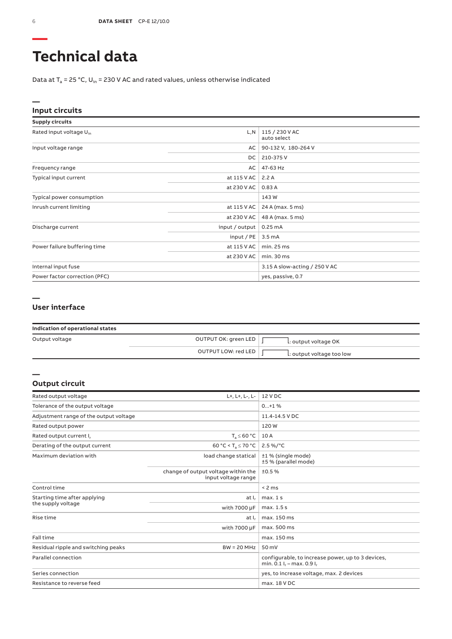# **Technical data**

Data at  $T_a$  = 25 °C, U<sub>in</sub> = 230 V AC and rated values, unless otherwise indicated

### **Input circuits**

| <b>Supply circuits</b>              |                |                               |
|-------------------------------------|----------------|-------------------------------|
| Rated input voltage U <sub>in</sub> | L, N           | 115 / 230 V AC<br>auto select |
| Input voltage range                 | AC             | 90-132 V, 180-264 V           |
|                                     | DC             | 210-375V                      |
| Frequency range                     | AC             | 47-63 Hz                      |
| Typical input current               | at 115 V AC    | 2.2A                          |
|                                     | at 230 V AC    | 0.83A                         |
| Typical power consumption           |                | 143 W                         |
| Inrush current limiting             | at 115 V AC    | 24 A (max. 5 ms)              |
|                                     | at 230 V AC    | 48 A (max. 5 ms)              |
| Discharge current                   | input / output | 0.25mA                        |
|                                     | input / PE     | $3.5 \text{ mA}$              |
| Power failure buffering time        | at 115 V AC    | min. 25 ms                    |
|                                     | at 230 V AC    | min.30 ms                     |
| Internal input fuse                 |                | 3.15 A slow-acting / 250 V AC |
| Power factor correction (PFC)       |                | yes, passive, 0.7             |

### **— User interface**

| Indication of operational states |                      |                           |
|----------------------------------|----------------------|---------------------------|
| Output voltage                   | OUTPUT OK: green LED | L: output voltage OK      |
|                                  | OUTPUT LOW: red LED  | L: output voltage too low |

### **Output circuit**

**—**

| Rated output voltage                   | L+, L+, L-, L-                                             | 12 V DC                                                                              |
|----------------------------------------|------------------------------------------------------------|--------------------------------------------------------------------------------------|
| Tolerance of the output voltage        |                                                            | $0+1$ %                                                                              |
| Adjustment range of the output voltage |                                                            | 11.4-14.5 V DC                                                                       |
| Rated output power                     |                                                            | 120W                                                                                 |
| Rated output current I <sub>r</sub>    | $T_a \leq 60 °C$                                           | 10 A                                                                                 |
| Derating of the output current         | 60 °C < T <sub>a</sub> $\leq$ 70 °C                        | $2.5\%$ /°C                                                                          |
| Maximum deviation with                 | load change statical                                       | ±1 % (single mode)<br>±5 % (parallel mode)                                           |
|                                        | change of output voltage within the<br>input voltage range | ±0.5%                                                                                |
| Control time                           |                                                            | < 2 ms                                                                               |
| Starting time after applying           | at I.                                                      | max.1s                                                                               |
| the supply voltage                     | with 7000 µF                                               | max. 1.5 s                                                                           |
| Rise time                              | at I,                                                      | max. 150 ms                                                                          |
|                                        | with 7000 µF                                               | max. 500 ms                                                                          |
| Fall time                              |                                                            | max. 150 ms                                                                          |
| Residual ripple and switching peaks    | $BW = 20 MHz$                                              | 50 mV                                                                                |
| Parallel connection                    |                                                            | configurable, to increase power, up to 3 devices,<br>min. 0.1 $I_r$ – max. 0.9 $I_r$ |
| Series connection                      |                                                            | yes, to increase voltage, max. 2 devices                                             |
| Resistance to reverse feed             |                                                            | max. 18 V DC                                                                         |

**—**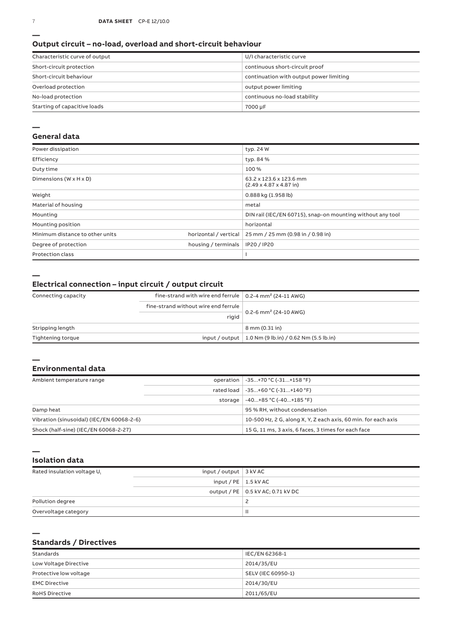#### **Output circuit – no-load, overload and short-circuit behaviour**

| Characteristic curve of output | U/I characteristic curve                |
|--------------------------------|-----------------------------------------|
| Short-circuit protection       | continuous short-circuit proof          |
| Short-circuit behaviour        | continuation with output power limiting |
| Overload protection            | output power limiting                   |
| No-load protection             | continuous no-load stability            |
| Starting of capacitive loads   | 7000 µF                                 |

#### **—**

### **General data**

| Power dissipation                    |                       | typ. 24 W                                                              |
|--------------------------------------|-----------------------|------------------------------------------------------------------------|
| Efficiency                           |                       | typ. 84 %                                                              |
| Duty time                            |                       | 100%                                                                   |
| Dimensions ( $W \times H \times D$ ) |                       | 63.2 x 123.6 x 123.6 mm<br>$(2.49 \times 4.87 \times 4.87 \text{ in})$ |
| Weight                               |                       | 0.888 kg (1.958 lb)                                                    |
| Material of housing                  |                       | metal                                                                  |
| Mounting                             |                       | DIN rail (IEC/EN 60715), snap-on mounting without any tool             |
| Mounting position                    |                       | horizontal                                                             |
| Minimum distance to other units      | horizontal / vertical | 25 mm / 25 mm (0.98 in / 0.98 in)                                      |
| Degree of protection                 | housing / terminals   | IP20 / IP20                                                            |
| <b>Protection class</b>              |                       |                                                                        |

**—**

**—**

**—**

### **Electrical connection – input circuit / output circuit**

| Connecting capacity | fine-strand with wire end ferrule $\vert$ 0.2-4 mm <sup>2</sup> (24-11 AWG) |                                                         |
|---------------------|-----------------------------------------------------------------------------|---------------------------------------------------------|
|                     | fine-strand without wire end ferrule                                        |                                                         |
|                     | rigid                                                                       | $0.2 - 6$ mm <sup>2</sup> (24-10 AWG)                   |
| Stripping length    |                                                                             | 8 mm (0.31 in)                                          |
| Tightening torque   |                                                                             | input / output   1.0 Nm (9 lb.in) / 0.62 Nm (5.5 lb.in) |

### **Environmental data**

| Ambient temperature range                 |         | operation   -35+70 °C (-31+158 °F)                             |
|-------------------------------------------|---------|----------------------------------------------------------------|
|                                           |         | rated load   -35+60 °C (-31+140 °F)                            |
|                                           | storage | $-40+85$ °C (-40+185 °F)                                       |
| Damp heat                                 |         | 95 % RH, without condensation                                  |
| Vibration (sinusoidal) (IEC/EN 60068-2-6) |         | 10-500 Hz, 2 G, along X, Y, Z each axis, 60 min, for each axis |
| Shock (half-sine) (IEC/EN 60068-2-27)     |         | 15 G, 11 ms, 3 axis, 6 faces, 3 times for each face            |

**— Isolation data**

| Rated insulation voltage U. | input / output $\vert$ 3 kV AC |                                     |
|-----------------------------|--------------------------------|-------------------------------------|
|                             | input / PE $\vert$ 1.5 kV AC   |                                     |
|                             |                                | output / PE   0.5 kV AC; 0.71 kV DC |
| Pollution degree            |                                |                                     |
| Overvoltage category        |                                |                                     |

### **Standards / Directives**

| Standards              | IEC/EN 62368-1     |
|------------------------|--------------------|
| Low Voltage Directive  | 2014/35/EU         |
| Protective low voltage | SELV (IEC 60950-1) |
| <b>EMC Directive</b>   | 2014/30/EU         |
| <b>RoHS Directive</b>  | 2011/65/EU         |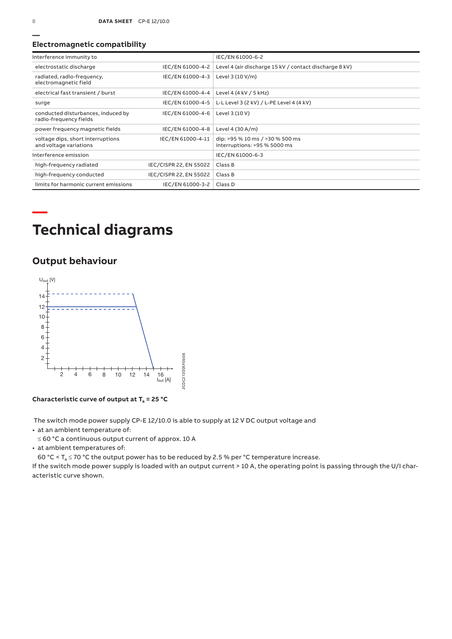### **Electromagnetic compatibility**

| Interference immunity to                                     |                        | IEC/EN 61000-6-2                                                |
|--------------------------------------------------------------|------------------------|-----------------------------------------------------------------|
| electrostatic discharge                                      | IEC/EN 61000-4-2       | Level 4 (air discharge 15 kV / contact discharge 8 kV)          |
| radiated, radio-frequency,<br>electromagnetic field          | IEC/EN 61000-4-3       | Level 3 (10 V/m)                                                |
| electrical fast transient / burst                            | IEC/EN 61000-4-4       | Level 4 (4 kV / 5 kHz)                                          |
| surge                                                        | IEC/EN 61000-4-5       | L-L Level 3 (2 kV) / L-PE Level 4 (4 kV)                        |
| conducted disturbances, induced by<br>radio-frequency fields | IEC/EN 61000-4-6       | Level 3 (10 V)                                                  |
| power frequency magnetic fields                              | IEC/EN 61000-4-8       | Level 4 (30 A/m)                                                |
| voltage dips, short interruptions<br>and voltage variations  | IEC/EN 61000-4-11      | dip: >95 % 10 ms / >30 % 500 ms<br>interruptions: >95 % 5000 ms |
| Interference emission                                        |                        | IEC/EN 61000-6-3                                                |
| high-frequency radiated                                      | IEC/CISPR 22, EN 55022 | Class B                                                         |
| high-frequency conducted                                     | IEC/CISPR 22, EN 55022 | Class B                                                         |
| limits for harmonic current emissions                        | IEC/EN 61000-3-2       | Class D                                                         |

# **Technical diagrams**

## **Output behaviour**



**Characteristic curve of output at Ta = 25 °C**

The switch mode power supply CP-E 12/10.0 is able to supply at 12 V DC output voltage and

- at an ambient temperature of:
- ≤ 60 °C a continuous output current of approx. 10 A
- at ambient temperatures of:

60 °C <  $T_a \le 70$  °C the output power has to be reduced by 2.5 % per °C temperature increase.

If the switch mode power supply is loaded with an output current > 10 A, the operating point is passing through the U/I characteristic curve shown.

**—**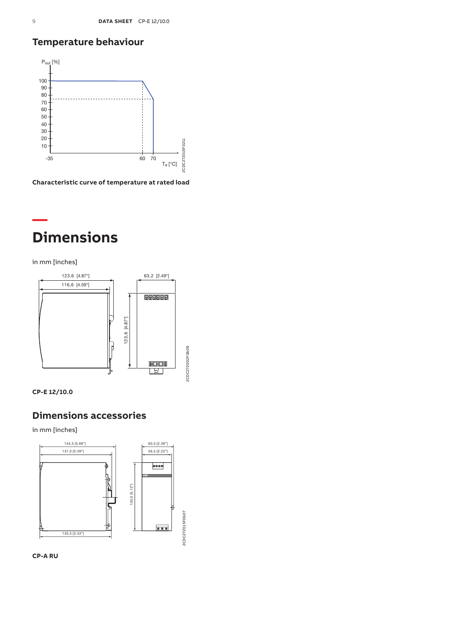## **Temperature behaviour**



**Characteristic curve of temperature at rated load**

## **— Dimensions**

in mm [inches]





### **Dimensions accessories**

in mm [inches]



**CP-A RU**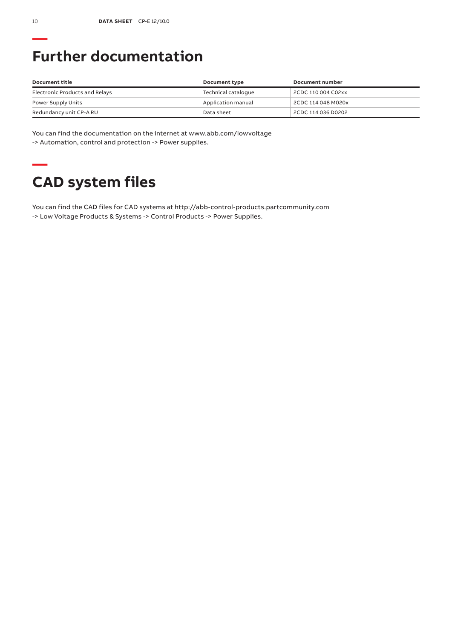# **Further documentation**

| Document title                 | Document type       | Document number    |
|--------------------------------|---------------------|--------------------|
| Electronic Products and Relays | Technical catalogue | 2CDC 110 004 C02xx |
| Power Supply Units             | Application manual  | 2CDC 114 048 M020x |
| Redundancy unit CP-A RU        | Data sheet          | 2CDC 114 036 D0202 |

You can find the documentation on the internet at www.abb.com/lowvoltage -> Automation, control and protection -> Power supplies.

# **— CAD system files**

You can find the CAD files for CAD systems at http://abb-control-products.partcommunity.com -> Low Voltage Products & Systems -> Control Products -> Power Supplies.